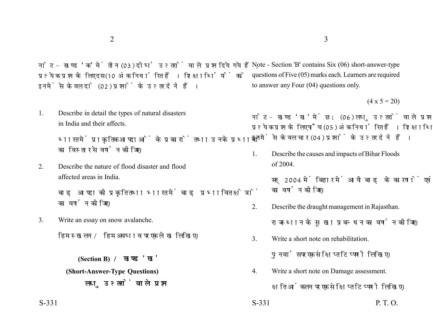नोट- खण्ड 'क' में तीन (03) दीर्घ उत्तरों वाले प्रश्न दिये गये हैं. प्रत्येक प्रश्न के लिए दस (10 अंक निर्धारित हैं। शिक्षार्थियों को इनमें से केवल दो (02) प्रश्नों के उत्तर देने हैं।

1. Describe in detail the types of natural disasters in India and their affects.

> भारत में प्राकृतिक आपदाओं के प्रकारों तथा उनके प्रभावों का विस्तार से वर्णन कीजिए।

2. Describe the nature of flood disaster and flood affected areas in India.

> बाढ आपदा की प्रकृति तथा भारत में बाढ प्रभावित क्षेत्रों का वर्णन कोजिए।

3. Write an essay on snow avalanche.

हिम स्खलन / हिम अवघाव पर एक लेख लिखिए।

**(Section B) (Short-Answer-Type Questions)** लघ उत्तरों वाले प्रश्न

Note - Section 'B' contains Six (06) short-answer-type questions of Five (05) marks each. Learners are required to answer any Four (04) questions only.

 $(4 \times 5 = 20)$ 

नोट- खण्ड 'ख' में छ: (06) लघु उत्तरों वाले प्रश्न दिये गये हैं, प्रत्येक प्रश्न के लिए पाँच (05) अंक निर्धारित हैं। शिक्षार्थियों को इनमें से केवल चार (04) प्रश्नों के उत्तर देने हैं।

1. Describe the causes and impacts of Bihar Floods of 2004.

> सन् 2004 में बिहार में आयी बाढ़ के कारणों एवं प्रभावों का वर्णन कोजिए।

- 2. Describe the draught management in Rajasthan. राजस्थान के सुखा प्रबन्धन का वर्णन कोजिए।
- 3. Write a short note on rehabilitation.

पुनर्वास पर एक संक्षिप्त टिप्पणी लिखिए।

4. Write a short note on Damage assessment.

क्षति आंकलन पर एक संक्षिप्त टिप्पणी लिखिए।

 $S-331$  P. T. O.